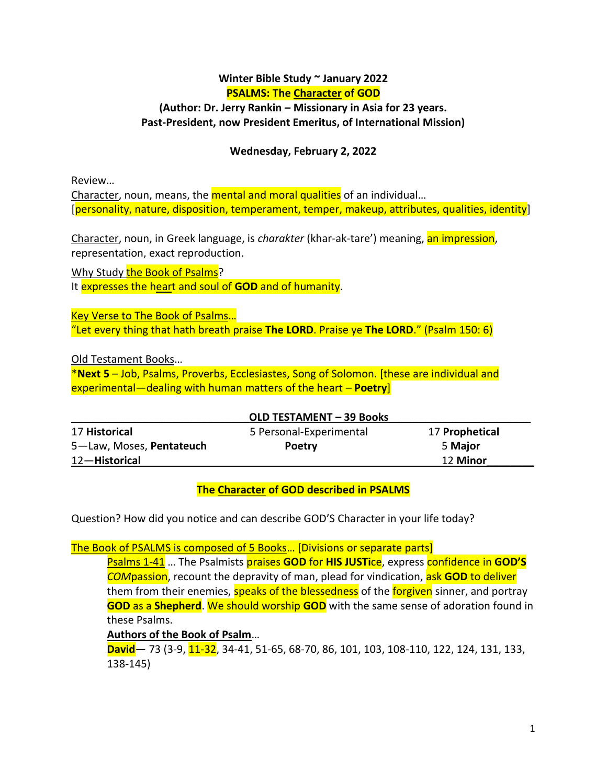## **Winter Bible Study ~ January 2022 PSALMS: The Character of GOD**

#### **(Author: Dr. Jerry Rankin – Missionary in Asia for 23 years. Past-President, now President Emeritus, of International Mission)**

#### **Wednesday, February 2, 2022**

Review…

Character, noun, means, the **mental and moral qualities** of an individual... [personality, nature, disposition, temperament, temper, makeup, attributes, qualities, identity]

Character, noun, in Greek language, is *charakter* (khar-ak-tare') meaning, an impression, representation, exact reproduction.

Why Study the Book of Psalms? It expresses the heart and soul of **GOD** and of humanity.

Key Verse to The Book of Psalms… "Let every thing that hath breath praise **The LORD**. Praise ye **The LORD**." (Psalm 150: 6)

Old Testament Books…

\***Next 5** – Job, Psalms, Proverbs, Ecclesiastes, Song of Solomon. [these are individual and experimental—dealing with human matters of the heart – **Poetry**]

| <b>OLD TESTAMENT - 39 Books</b> |                         |                |
|---------------------------------|-------------------------|----------------|
| 17 Historical                   | 5 Personal-Experimental | 17 Prophetical |
| 5-Law, Moses, Pentateuch        | <b>Poetry</b>           | 5 Major        |
| 12-Historical                   |                         | 12 Minor       |

## **The Character of GOD described in PSALMS**

Question? How did you notice and can describe GOD'S Character in your life today?

The Book of PSALMS is composed of 5 Books… [Divisions or separate parts]

Psalms 1-41 … The Psalmists praises **GOD** for **HIS JUSTi**ce, express confidence in **GOD'S** *COM*passion, recount the depravity of man, plead for vindication, ask **GOD** to deliver them from their enemies, speaks of the blessedness of the forgiven sinner, and portray **GOD** as a **Shepherd**. We should worship **GOD** with the same sense of adoration found in these Psalms.

**Authors of the Book of Psalm**…

**David**— 73 (3-9, 11-32, 34-41, 51-65, 68-70, 86, 101, 103, 108-110, 122, 124, 131, 133, 138-145)